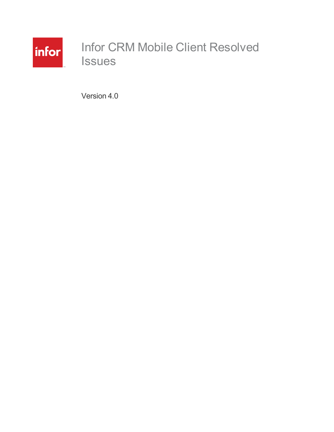

# Infor CRM Mobile Client Resolved Issues

Version 4.0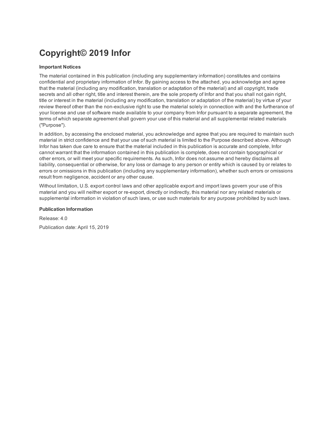## **Copyright© 2019 Infor**

#### **Important Notices**

The material contained in this publication (including any supplementary information) constitutes and contains confidential and proprietary information of Infor. By gaining access to the attached, you acknowledge and agree that the material (including any modification, translation or adaptation of the material) and all copyright, trade secrets and all other right, title and interest therein, are the sole property of Infor and that you shall not gain right, title or interest in the material (including any modification, translation or adaptation of the material) by virtue of your review thereof other than the non-exclusive right to use the material solely in connection with and the furtherance of your license and use of software made available to your company from Infor pursuant to a separate agreement, the terms of which separate agreement shall govern your use of this material and all supplemental related materials ("Purpose").

In addition, by accessing the enclosed material, you acknowledge and agree that you are required to maintain such material in strict confidence and that your use of such material is limited to the Purpose described above. Although Infor has taken due care to ensure that the material included in this publication is accurate and complete, Infor cannot warrant that the information contained in this publication is complete, does not contain typographical or other errors, or will meet your specific requirements. As such, Infor does not assume and hereby disclaims all liability, consequential or otherwise, for any loss or damage to any person or entity which is caused by or relates to errors or omissions in this publication (including any supplementary information), whether such errors or omissions result from negligence, accident or any other cause.

Without limitation, U.S. export control laws and other applicable export and import laws govern your use of this material and you will neither export or re-export, directly or indirectly, this material nor any related materials or supplemental information in violation of such laws, or use such materials for any purpose prohibited by such laws.

#### **Publication Information**

Release: 4.0 Publication date: April 15, 2019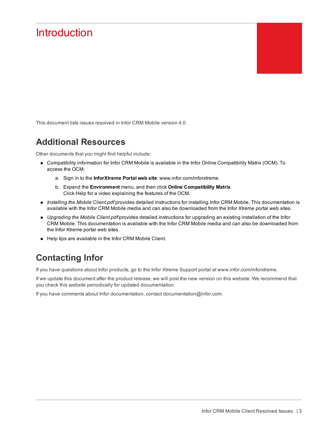## **Introduction**

This document lists issues resolved in Infor CRM Mobile version 4.0.

### **Additional Resources**

Other documents that you might find helpful include:

- <sup>n</sup> Compatibility information for Infor CRM Mobile is available in the Infor Online Compatibility Matrix (OCM). To access the OCM:
	- a. Sign in to the **InforXtreme Portal web site**: www.infor.com/inforxtreme.
	- b. Expand the **Environment** menu, and then click **Online Compatibility Matrix**. Click Help for a video explaining the features of the OCM.
- <sup>n</sup> *Installing the Mobile Client.pdf* provides detailed instructions for installing Infor CRM Mobile. This documentation is available with the Infor CRM Mobile media and can also be downloaded from the Infor Xtreme portal web sites.
- <sup>n</sup> *Upgrading the Mobile Client.pdf* provides detailed instructions for upgrading an existing installation of the Infor CRM Mobile. This documentation is available with the Infor CRM Mobile media and can also be downloaded from the Infor Xtreme portal web sites.
- Help tips are available in the Infor CRM Mobile Client.

### **Contacting Infor**

If you have questions about Infor products, go to the Infor Xtreme Support portal at [www.infor.com/inforxtreme](http://www.infor.com/inforxtreme).

If we update this document after the product release, we will post the new version on this website. We recommend that you check this website periodically for updated documentation.

If you have comments about Infor documentation, contact [documentation@infor.com](mailto:documentation@inform.com).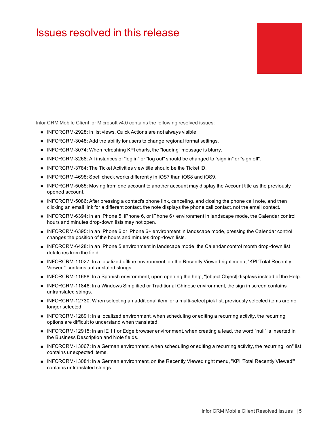## Issues resolved in this release

Infor CRM Mobile Client for Microsoft v4.0 contains the following resolved issues:

- INFORCRM-2928: In list views, Quick Actions are not always visible.
- **n** INFORCRM-3048: Add the ability for users to change regional format settings.
- INFORCRM-3074: When refreshing KPI charts, the "loading" message is blurry.
- INFORCRM-3268: All instances of "log in" or "log out" should be changed to "sign in" or "sign off".
- **NORCRM-3784: The Ticket Activities view title should be the Ticket ID.**
- INFORCRM-4698: Spell check works differently in iOS7 than iOS8 and iOS9.
- INFORCRM-5085: Moving from one account to another account may display the Account title as the previously opened account.
- **n** INFORCRM-5086: After pressing a contact's phone link, canceling, and closing the phone call note, and then clicking an email link for a different contact, the note displays the phone call contact, not the email contact.
- INFORCRM-6394: In an iPhone 5, iPhone 6, or iPhone 6+ environment in landscape mode, the Calendar control hours and minutes drop-down lists may not open.
- INFORCRM-6395: In an iPhone 6 or iPhone 6+ environment in landscape mode, pressing the Calendar control changes the position of the hours and minutes drop-down lists.
- **n** INFORCRM-6428: In an iPhone 5 environment in landscape mode, the Calendar control month drop-down list detatches from the field.
- <sup>n</sup> INFORCRM-11027: In a localized offline environment, on the Recently Viewed right menu, "KPI 'Total Recently Viewed'" contains untranslated strings.
- **n** INFORCRM-11688: In a Spanish environment, upon opening the help, "[object Object] displays instead of the Help.
- INFORCRM-11846: In a Windows Simplified or Traditional Chinese environment, the sign in screen contains untranslated strings.
- **n** INFORCRM-12730: When selecting an additional item for a multi-select pick list, previously selected items are no longer selected.
- n INFORCRM-12891: In a localized environment, when scheduling or editing a recurring activity, the recurring options are difficult to understand when translated.
- INFORCRM-12915: In an IE 11 or Edge browser environment, when creating a lead, the word "null" is inserted in the Business Description and Note fields.
- INFORCRM-13067: In a German environment, when scheduling or editing a recurring activity, the recurring "on" list contains unexpected items.
- n INFORCRM-13081: In a German environment, on the Recently Viewed right menu, "KPI 'Total Recently Viewed'" contains untranslated strings.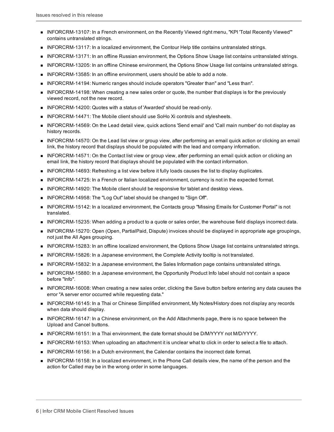- <sup>n</sup> INFORCRM-13107: In a French environment, on the Recently Viewed right menu, "KPI 'Total Recently Viewed'" contains untranslated strings.
- **NIFORCRM-13117: In a localized environment, the Contour Help title contains untranslated strings.**
- **n** INFORCRM-13171: In an offline Russian environment, the Options Show Usage list contains untranslated strings.
- <sup>n</sup> INFORCRM-13205: In an offline Chinese environment, the Options Show Usage list contains untranslated strings.
- <sup>n</sup> INFORCRM-13585: In an offline environment, users should be able to add a note.
- <sup>n</sup> INFORCRM-14194: Numeric ranges should include operators "Greater than" and "Less than".
- **n** INFORCRM-14198: When creating a new sales order or quote, the number that displays is for the previously viewed record, not the new record.
- INFORCRM-14200: Quotes with a status of 'Awarded' should be read-only.
- INFORCRM-14471: The Mobile client should use SoHo Xi controls and stylesheets.
- INFORCRM-14569: On the Lead detail view, quick actions 'Send email' and 'Call main number' do not display as history records.
- INFORCRM-14570: On the Lead list view or group view, after performing an email quick action or clicking an email link, the history record that displays should be populated with the lead and company information.
- **n** INFORCRM-14571: On the Contact list view or group view, after performing an email quick action or clicking an email link, the history record that displays should be populated with the contact information.
- INFORCRM-14693: Refreshing a list view before it fully loads causes the list to display duplicates.
- **n** INFORCRM-14725: In a French or Italian localized environment, currency is not in the expected format.
- **NI** INFORCRM-14920: The Mobile client should be responsive for tablet and desktop views.
- <sup>n</sup> INFORCRM-14958: The "Log Out" label should be changed to "Sign Off".
- <sup>n</sup> INFORCRM-15142: In a localized environment, the Contacts group "Missing Emails for Customer Portal" is not translated.
- **n** INFORCRM-15235: When adding a product to a quote or sales order, the warehouse field displays incorrect data.
- <sup>n</sup> INFORCRM-15270: Open (Open, PartialPaid, Dispute) invoices should be displayed in appropriate age groupings, not just the All Ages grouping.
- **n** INFORCRM-15283: In an offline localized environment, the Options Show Usage list contains untranslated strings.
- **NIFORCRM-15826:** In a Japanese environment, the Complete Activity tooltip is not translated.
- **n** INFORCRM-15832: In a Japanese environment, the Sales Information page contains untranslated strings.
- <sup>n</sup> INFORCRM-15880: In a Japanese environment, the Opportunity Product Info label should not contain a space before "Info".
- <sup>n</sup> INFORCRM-16008: When creating a new sales order, clicking the Save button before entering any data causes the error "A server error occurred while requesting data."
- INFORCRM-16145: In a Thai or Chinese Simplified environment, My Notes/History does not display any records when data should display.
- **n** INFORCRM-16147: In a Chinese environment, on the Add Attachments page, there is no space between the Upload and Cancel buttons.
- **n** INFORCRM-16151: In a Thai environment, the date format should be D/M/YYYY not M/D/YYYY.
- **n** INFORCRM-16153: When uploading an attachment it is unclear what to click in order to select a file to attach.
- **n** INFORCRM-16156: In a Dutch environment, the Calendar contains the incorrect date format.
- n INFORCRM-16158: In a localized environment, in the Phone Call details view, the name of the person and the action for Called may be in the wrong order in some languages.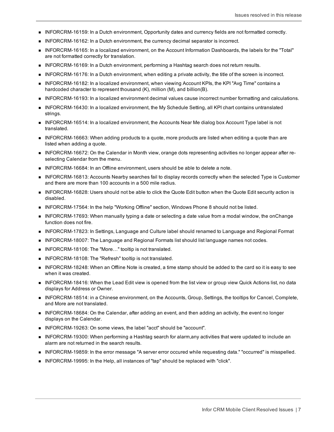- <sup>n</sup> INFORCRM-16159: In a Dutch environment, Opportunity dates and currency fields are not formatted correctly.
- <sup>n</sup> INFORCRM-16162: In a Dutch environment, the currency decimal separator is incorrect.
- <sup>n</sup> INFORCRM-16165: In a localized environment, on the Account Information Dashboards, the labels for the "Total" are not formatted correctly for translation.
- INFORCRM-16169: In a Dutch environment, performing a Hashtag search does not return results.
- <sup>n</sup> INFORCRM-16176: In a Dutch environment, when editing a private activity, the title of the screen is incorrect.
- <sup>n</sup> INFORCRM-16182: In a localized environment, when viewing Account KPIs, the KPI "Avg Time" contains a hardcoded character to represent thousand (K), million (M), and billion(B).
- **n** INFORCRM-16193: In a localized environment decimal values cause incorrect number formatting and calculations.
- INFORCRM-16430: In a localized environment, the My Schedule Setting, all KPI chart contains untranslated strings.
- INFORCRM-16514: In a localized environment, the Accounts Near Me dialog box Account Type label is not translated.
- INFORCRM-16663: When adding products to a quote, more products are listed when editing a quote than are listed when adding a quote.
- n INFORCRM-16672: On the Calendar in Month view, orange dots representing activities no longer appear after reselecting Calendar from the menu.
- INFORCRM-16684: In an Offline environment, users should be able to delete a note.
- <sup>n</sup> INFORCRM-16813: Accounts Nearby searches fail to display records correctly when the selected Type is Customer and there are more than 100 accounts in a 500 mile radius.
- INFORCRM-16828: Users should not be able to click the Quote Edit button when the Quote Edit security action is disabled.
- INFORCRM-17564: In the help "Working Offline" section, Windows Phone 8 should not be listed.
- INFORCRM-17693: When manually typing a date or selecting a date value from a modal window, the onChange function does not fire.
- <sup>n</sup> INFORCRM-17823: In Settings, Language and Culture label should renamed to Language and Regional Format
- **NIFORCRM-18007: The Language and Regional Formats list should list language names not codes.**
- INFORCRM-18106: The "More..." tooltip is not translated.
- INFORCRM-18108: The "Refresh" tooltip is not translated.
- <sup>n</sup> INFORCRM-18248: When an Offline Note is created, a time stamp should be added to the card so it is easy to see when it was created.
- **n** INFORCRM-18416: When the Lead Edit view is opened from the list view or group view Quick Actions list, no data displays for Address or Owner.
- n INFORCRM-18514: in a Chinese environment, on the Accounts, Group, Settings, the tooltips for Cancel, Complete, and More are not translated.
- **n** INFORCRM-18684: On the Calendar, after adding an event, and then adding an activity, the event no longer displays on the Calendar.
- **n** INFORCRM-19263: On some views, the label "acct" should be "account".
- n INFORCRM-19300: When performing a Hashtag search for alarm,any activities that were updated to include an alarm are not returned in the search results.
- n INFORCRM-19859: In the error message "A server error occured while requesting data." "occurred" is misspelled.
- n INFORCRM-19995: In the Help, all instances of "tap" should be replaced with "click".